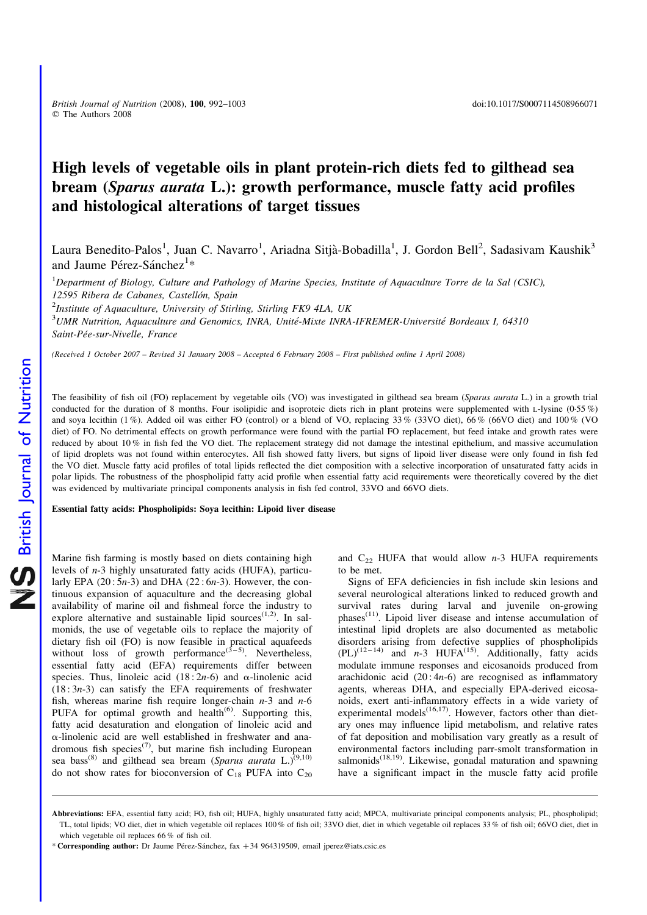# High levels of vegetable oils in plant protein-rich diets fed to gilthead sea bream (Sparus aurata L.): growth performance, muscle fatty acid profiles and histological alterations of target tissues

Laura Benedito-Palos<sup>1</sup>, Juan C. Navarro<sup>1</sup>, Ariadna Sitjà-Bobadilla<sup>1</sup>, J. Gordon Bell<sup>2</sup>, Sadasivam Kaushik<sup>3</sup> and Jaume Pérez-Sánchez<sup>1\*</sup>

<sup>1</sup>Department of Biology, Culture and Pathology of Marine Species, Institute of Aquaculture Torre de la Sal (CSIC), 12595 Ribera de Cabanes, Castellón, Spain <sup>2</sup>Institute of Aquaculture, University of Stirling, Stirling FK9 4LA, UK  $3$ UMR Nutrition, Aquaculture and Genomics, INRA, Unité-Mixte INRA-IFREMER-Université Bordeaux I, 64310 Saint-Pée-sur-Nivelle, France

(Received 1 October 2007 – Revised 31 January 2008 – Accepted 6 February 2008 – First published online 1 April 2008)

The feasibility of fish oil (FO) replacement by vegetable oils (VO) was investigated in gilthead sea bream (Sparus aurata L.) in a growth trial conducted for the duration of 8 months. Four isolipidic and isoproteic diets rich in plant proteins were supplemented with L-lysine (0·55 %) and soya lecithin (1 %). Added oil was either FO (control) or a blend of VO, replacing 33 % (33VO diet), 66 % (66VO diet) and 100 % (VO diet) of FO. No detrimental effects on growth performance were found with the partial FO replacement, but feed intake and growth rates were reduced by about 10 % in fish fed the VO diet. The replacement strategy did not damage the intestinal epithelium, and massive accumulation of lipid droplets was not found within enterocytes. All fish showed fatty livers, but signs of lipoid liver disease were only found in fish fed the VO diet. Muscle fatty acid profiles of total lipids reflected the diet composition with a selective incorporation of unsaturated fatty acids in polar lipids. The robustness of the phospholipid fatty acid profile when essential fatty acid requirements were theoretically covered by the diet was evidenced by multivariate principal components analysis in fish fed control, 33VO and 66VO diets.

Essential fatty acids: Phospholipids: Soya lecithin: Lipoid liver disease

Marine fish farming is mostly based on diets containing high levels of n-3 highly unsaturated fatty acids (HUFA), particularly EPA  $(20:5n-3)$  and DHA  $(22:6n-3)$ . However, the continuous expansion of aquaculture and the decreasing global availability of marine oil and fishmeal force the industry to explore alternative and sustainable lipid sources<sup> $(1,2)$ </sup>. In salmonids, the use of vegetable oils to replace the majority of dietary fish oil (FO) is now feasible in practical aquafeeds without loss of growth performance<sup>(3-5)</sup>. Nevertheless, essential fatty acid (EFA) requirements differ between species. Thus, linoleic acid  $(18:2n-6)$  and  $\alpha$ -linolenic acid  $(18:3n-3)$  can satisfy the EFA requirements of freshwater fish, whereas marine fish require longer-chain  $n-3$  and  $n-6$ PUFA for optimal growth and health<sup> $(6)$ </sup>. Supporting this, fatty acid desaturation and elongation of linoleic acid and  $\alpha$ -linolenic acid are well established in freshwater and anadromous fish species<sup>(7)</sup>, but marine fish including European sea bass<sup>(8)</sup> and gilthead sea bream (Sparus aurata L.)<sup>(9,10)</sup> do not show rates for bioconversion of  $C_{18}$  PUFA into  $C_{20}$ 

and  $C_{22}$  HUFA that would allow n-3 HUFA requirements to be met.

Signs of EFA deficiencies in fish include skin lesions and several neurological alterations linked to reduced growth and survival rates during larval and juvenile on-growing phases(11). Lipoid liver disease and intense accumulation of intestinal lipid droplets are also documented as metabolic disorders arising from defective supplies of phospholipids  $(PL)^{(12-14)}$  and n-3 HUFA<sup>(15)</sup>. Additionally, fatty acids modulate immune responses and eicosanoids produced from arachidonic acid  $(20:4n-6)$  are recognised as inflammatory agents, whereas DHA, and especially EPA-derived eicosanoids, exert anti-inflammatory effects in a wide variety of experimental models $^{(16,17)}$ . However, factors other than dietary ones may influence lipid metabolism, and relative rates of fat deposition and mobilisation vary greatly as a result of environmental factors including parr-smolt transformation in salmonids<sup>(18,19)</sup>. Likewise, gonadal maturation and spawning have a significant impact in the muscle fatty acid profile

Abbreviations: EFA, essential fatty acid; FO, fish oil; HUFA, highly unsaturated fatty acid; MPCA, multivariate principal components analysis; PL, phospholipid; TL, total lipids; VO diet, diet in which vegetable oil replaces 100 % of fish oil; 33VO diet, diet in which vegetable oil replaces 33 % of fish oil; 66VO diet, diet in which vegetable oil replaces 66 % of fish oil.

<sup>\*</sup> Corresponding author: Dr Jaume Pérez-Sánchez, fax +34 964319509, email jperez@iats.csic.es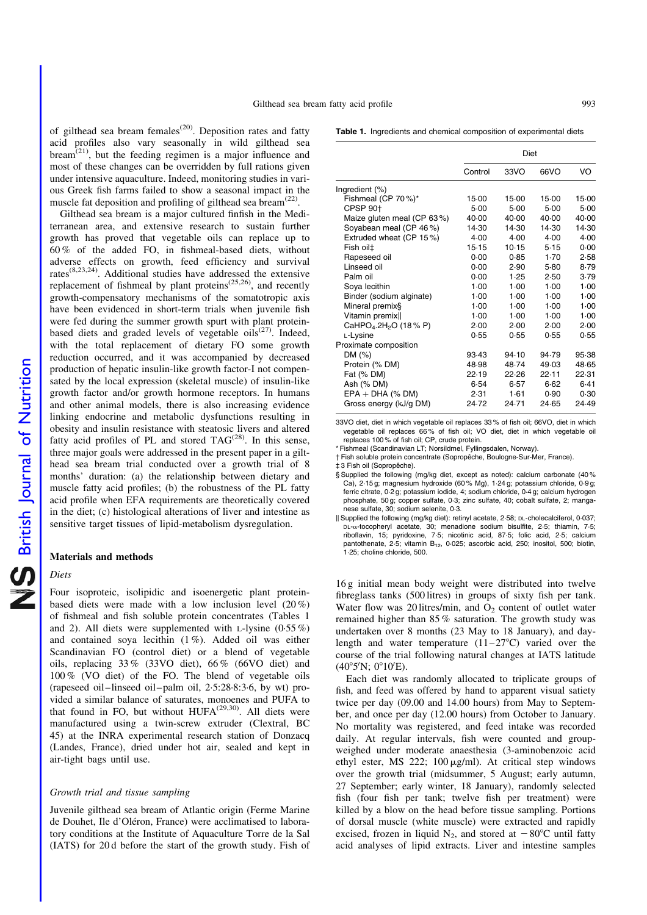of gilthead sea bream females<sup> $(20)$ </sup>. Deposition rates and fatty acid profiles also vary seasonally in wild gilthead sea  $b$ ream<sup> $(21)$ </sup>, but the feeding regimen is a major influence and most of these changes can be overridden by full rations given under intensive aquaculture. Indeed, monitoring studies in various Greek fish farms failed to show a seasonal impact in the muscle fat deposition and profiling of gilthead sea bream $^{(22)}$ .

Gilthead sea bream is a major cultured finfish in the Mediterranean area, and extensive research to sustain further growth has proved that vegetable oils can replace up to 60 % of the added FO, in fishmeal-based diets, without adverse effects on growth, feed efficiency and survival rates(8,23,24). Additional studies have addressed the extensive replacement of fishmeal by plant proteins $(25,26)$ , and recently growth-compensatory mechanisms of the somatotropic axis have been evidenced in short-term trials when juvenile fish were fed during the summer growth spurt with plant proteinbased diets and graded levels of vegetable  $oils^{(27)}$ . Indeed, with the total replacement of dietary FO some growth reduction occurred, and it was accompanied by decreased production of hepatic insulin-like growth factor-I not compensated by the local expression (skeletal muscle) of insulin-like growth factor and/or growth hormone receptors. In humans and other animal models, there is also increasing evidence linking endocrine and metabolic dysfunctions resulting in obesity and insulin resistance with steatosic livers and altered fatty acid profiles of PL and stored  $TAG^{(28)}$ . In this sense, three major goals were addressed in the present paper in a gilthead sea bream trial conducted over a growth trial of 8 months' duration: (a) the relationship between dietary and muscle fatty acid profiles; (b) the robustness of the PL fatty acid profile when EFA requirements are theoretically covered in the diet; (c) histological alterations of liver and intestine as sensitive target tissues of lipid-metabolism dysregulation.

# Materials and methods

# Diets

Four isoproteic, isolipidic and isoenergetic plant proteinbased diets were made with a low inclusion level (20 %) of fishmeal and fish soluble protein concentrates (Tables 1 and 2). All diets were supplemented with L-lysine  $(0.55\%)$ and contained soya lecithin (1 %). Added oil was either Scandinavian FO (control diet) or a blend of vegetable oils, replacing 33 % (33VO diet), 66 % (66VO diet) and 100 % (VO diet) of the FO. The blend of vegetable oils (rapeseed oil–linseed oil–palm oil, 2·5:28·8:3·6, by wt) provided a similar balance of saturates, monoenes and PUFA to that found in FO, but without  $HUFA<sup>(29,30)</sup>$ . All diets were manufactured using a twin-screw extruder (Clextral, BC 45) at the INRA experimental research station of Donzacq (Landes, France), dried under hot air, sealed and kept in air-tight bags until use.

#### Growth trial and tissue sampling

Juvenile gilthead sea bream of Atlantic origin (Ferme Marine de Douhet, Ile d'Oléron, France) were acclimatised to laboratory conditions at the Institute of Aquaculture Torre de la Sal (IATS) for 20 d before the start of the growth study. Fish of Table 1. Ingredients and chemical composition of experimental diets

|                                  | Diet    |        |        |        |  |  |  |  |
|----------------------------------|---------|--------|--------|--------|--|--|--|--|
|                                  | Control | 33VO   | 66VO   | VO     |  |  |  |  |
| Ingredient (%)                   |         |        |        |        |  |  |  |  |
| Fishmeal (CP 70%)*               | 15.00   | 15.00  | 15.00  | 15.00  |  |  |  |  |
| CPSP 90 <sup>+</sup>             | $5-00$  | 5.00   | 5.00   | $5-00$ |  |  |  |  |
| Maize gluten meal (CP 63%)       | 40.00   | 40.00  | 40.00  | 40.00  |  |  |  |  |
| Soyabean meal (CP 46%)           | 14.30   | 14.30  | 14.30  | 14.30  |  |  |  |  |
| Extruded wheat (CP 15%)          | 4.00    | 4.00   | 4.00   | 4.00   |  |  |  |  |
| Fish oil‡                        | 15.15   | 10.15  | 5.15   | 0.00   |  |  |  |  |
| Rapeseed oil                     | 0.00    | 0.85   | 1.70   | 2.58   |  |  |  |  |
| Linseed oil                      | 0.00    | 2.90   | $5-80$ | 8.79   |  |  |  |  |
| Palm oil                         | 0.00    | 1.25   | 2.50   | 3.79   |  |  |  |  |
| Soya lecithin                    | 1.00    | 1.00   | 1.00   | $1-00$ |  |  |  |  |
| Binder (sodium alginate)         | $1-00$  | $1-00$ | $1-00$ | $1-00$ |  |  |  |  |
| Mineral premix§                  | $1-00$  | $1-00$ | 1.00   | $1-00$ |  |  |  |  |
| Vitamin premix                   | 1.00    | 1.00   | 1.00   | $1-00$ |  |  |  |  |
| CaHPO4.2H <sub>2</sub> O (18% P) | 2.00    | 2.00   | 2.00   | 2.00   |  |  |  |  |
| L-Lysine                         | 0.55    | 0.55   | 0.55   | 0.55   |  |  |  |  |
| Proximate composition            |         |        |        |        |  |  |  |  |
| DM (%)                           | 93.43   | 94.10  | 94.79  | 95.38  |  |  |  |  |
| Protein (% DM)                   | 48.98   | 48.74  | 49.03  | 48.65  |  |  |  |  |
| Fat (% DM)                       | 22.19   | 22.26  | 22.11  | 22.31  |  |  |  |  |
| Ash (% DM)                       | 6.54    | 6.57   | 6.62   | 6.41   |  |  |  |  |
| $EPA + DHA$ (% DM)               | 2.31    | 1.61   | 0.90   | 0.30   |  |  |  |  |
| Gross energy (kJ/g DM)           | 24.72   | 24.71  | 24.65  | 24.49  |  |  |  |  |

33VO diet, diet in which vegetable oil replaces 33 % of fish oil; 66VO, diet in which vegetable oil replaces 66 % of fish oil; VO diet, diet in which vegetable oil replaces 100 % of fish oil; CP, crude protein.

\* Fishmeal (Scandinavian LT; Norsildmel, Fyllingsdalen, Norway).

† Fish soluble protein concentrate (Sopropêche, Boulogne-Sur-Mer, France).

 $‡ 3$  Fish oil (Sopropêche).

- § Supplied the following (mg/kg diet, except as noted): calcium carbonate (40% Ca), 2·15 g; magnesium hydroxide (60 % Mg), 1·24 g; potassium chloride, 0·9 g; ferric citrate, 0·2 g; potassium iodide, 4; sodium chloride, 0·4 g; calcium hydrogen phosphate, 50 g; copper sulfate, 0·3; zinc sulfate, 40; cobalt sulfate, 2; manganese sulfate, 30; sodium selenite, 0·3.
- || Supplied the following (mg/kg diet): retinyl acetate, 2·58; DL-cholecalciferol, 0·037; DL-a-tocopheryl acetate, 30; menadione sodium bisulfite, 2·5; thiamin, 7·5; riboflavin, 15; pyridoxine, 7·5; nicotinic acid, 87·5; folic acid, 2·5; calcium pantothenate,  $2.5$ ; vitamin  $B_{12}$ , 0.025; ascorbic acid, 250; inositol, 500; biotin, 1·25; choline chloride, 500.

16 g initial mean body weight were distributed into twelve fibreglass tanks (500 litres) in groups of sixty fish per tank. Water flow was 20 litres/min, and  $O_2$  content of outlet water remained higher than 85 % saturation. The growth study was undertaken over 8 months (23 May to 18 January), and daylength and water temperature  $(11-27^{\circ}\text{C})$  varied over the course of the trial following natural changes at IATS latitude  $(40°5'N; 0°10'E).$ 

Each diet was randomly allocated to triplicate groups of fish, and feed was offered by hand to apparent visual satiety twice per day (09.00 and 14.00 hours) from May to September, and once per day (12.00 hours) from October to January. No mortality was registered, and feed intake was recorded daily. At regular intervals, fish were counted and groupweighed under moderate anaesthesia (3-aminobenzoic acid ethyl ester, MS 222;  $100 \mu g/ml$ . At critical step windows over the growth trial (midsummer, 5 August; early autumn, 27 September; early winter, 18 January), randomly selected fish (four fish per tank; twelve fish per treatment) were killed by a blow on the head before tissue sampling. Portions of dorsal muscle (white muscle) were extracted and rapidly excised, frozen in liquid N<sub>2</sub>, and stored at  $-80^{\circ}$ C until fatty acid analyses of lipid extracts. Liver and intestine samples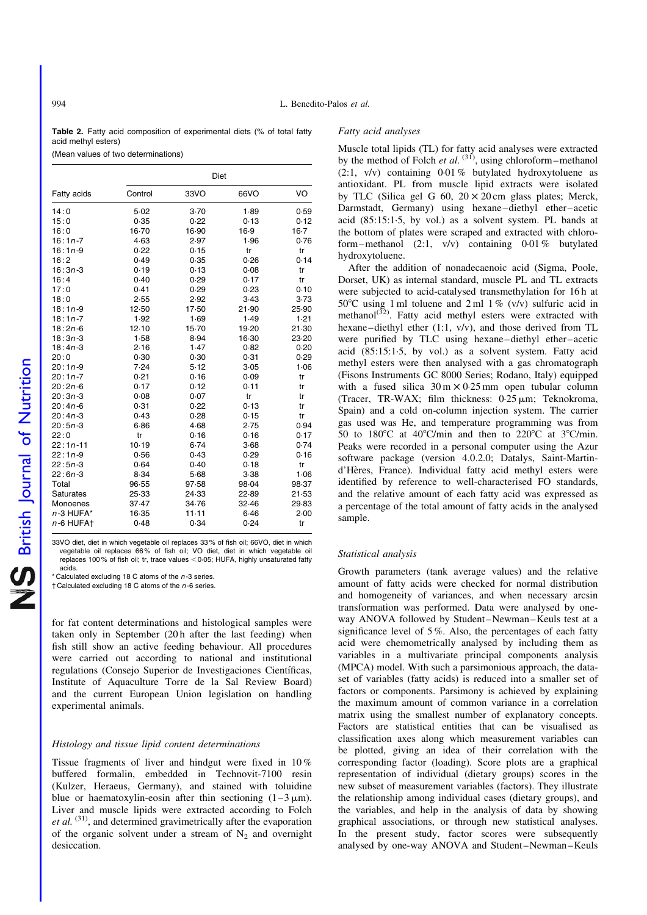Table 2. Fatty acid composition of experimental diets (% of total fatty acid methyl esters)

(Mean values of two determinations)

|                       |         | Diet    |        |        |
|-----------------------|---------|---------|--------|--------|
| Fatty acids           | Control | 33VO    | 66VO   | VO     |
| 14:0                  | 5.02    | $3-70$  | 1.89   | 0.59   |
| 15:0                  | 0.35    | 0.22    | 0.13   | 0.12   |
| 16:0                  | $16-70$ | 16.90   | 16.9   | $16-7$ |
| $16:1n-7$             | 4.63    | 2.97    | 1.96   | 0.76   |
| $16:1n-9$             | 0.22    | 0.15    | tr     | tr     |
| 16:2                  | 0.49    | 0.35    | 0.26   | 0.14   |
| $16:3n-3$             | 0.19    | 0.13    | 0.08   | tr     |
| 16:4                  | 0.40    | 0.29    | 0.17   | tr     |
| 17:0                  | 0.41    | 0.29    | 0.23   | 0.10   |
| 18:0                  | 2.55    | 2.92    | $3-43$ | 3.73   |
| $18:1n-9$             | 12.50   | 17.50   | 21.90  | 25.90  |
| $18:1n-7$             | 1.92    | 1.69    | 1.49   | 1.21   |
| $18:2n-6$             | 12.10   | $15-70$ | 19-20  | 21.30  |
| $18:3n-3$             | 1.58    | 8.94    | 16.30  | 23-20  |
| $18:4n-3$             | 2.16    | 1.47    | 0.82   | 0.20   |
| 20:0                  | 0.30    | 0.30    | 0.31   | 0.29   |
| $20:1n-9$             | 7.24    | 5.12    | 3.05   | 1.06   |
| $20:1n-7$             | 0.21    | 0.16    | 0.09   | tr     |
| $20:2n-6$             | 0.17    | 0.12    | 0.11   | tr     |
| $20:3n-3$             | 0.08    | 0.07    | tr     | tr     |
| $20:4n-6$             | 0.31    | 0.22    | 0.13   | tr     |
| $20:4n-3$             | 0.43    | 0.28    | 0.15   | tr     |
| $20:5n-3$             | 6.86    | 4.68    | 2.75   | 0.94   |
| 22:0                  | tr      | 0.16    | 0.16   | 0.17   |
| $22:1n-11$            | 10.19   | 6.74    | $3-68$ | 0.74   |
| $22:1n-9$             | 0.56    | 0.43    | 0.29   | 0.16   |
| $22:5n-3$             | 0.64    | 0.40    | 0.18   | tr     |
| $22:6n-3$             | 8.34    | 5.68    | 3.38   | 1.06   |
| Total                 | 96.55   | 97.58   | 98-04  | 98.37  |
| <b>Saturates</b>      | 25.33   | 24.33   | 22.89  | 21.53  |
| Monoenes              | 37.47   | 34.76   | 32.46  | 29.83  |
| $n-3$ HUFA*           | 16.35   | $11-11$ | 6.46   | 2.00   |
| n-6 HUFA <sup>+</sup> | 0.48    | 0.34    | 0.24   | tr     |

33VO diet, diet in which vegetable oil replaces 33 % of fish oil; 66VO, diet in which vegetable oil replaces 66 % of fish oil; VO diet, diet in which vegetable oil replaces 100 % of fish oil; tr, trace values  $<$  0.05; HUFA, highly unsaturated fatty acids.

 $*$  Calculated excluding 18 C atoms of the  $n-3$  series.

 $\dagger$  Calculated excluding 18 C atoms of the  $n$ -6 series.

for fat content determinations and histological samples were taken only in September (20 h after the last feeding) when fish still show an active feeding behaviour. All procedures were carried out according to national and institutional regulations (Consejo Superior de Investigaciones Científicas, Institute of Aquaculture Torre de la Sal Review Board) and the current European Union legislation on handling experimental animals.

# Histology and tissue lipid content determinations

Tissue fragments of liver and hindgut were fixed in 10 % buffered formalin, embedded in Technovit-7100 resin (Kulzer, Heraeus, Germany), and stained with toluidine blue or haematoxylin-eosin after thin sectioning  $(1-3 \mu m)$ . Liver and muscle lipids were extracted according to Folch et al.<sup>(31)</sup>, and determined gravimetrically after the evaporation of the organic solvent under a stream of  $N_2$  and overnight desiccation.

# Fatty acid analyses

Muscle total lipids (TL) for fatty acid analyses were extracted by the method of Folch et al.  $^{(31)}$ , using chloroform–methanol (2:1, v/v) containing 0·01 % butylated hydroxytoluene as antioxidant. PL from muscle lipid extracts were isolated by TLC (Silica gel G 60,  $20 \times 20$  cm glass plates; Merck, Darmstadt, Germany) using hexane–diethyl ether–acetic acid (85:15:1·5, by vol.) as a solvent system. PL bands at the bottom of plates were scraped and extracted with chloroform–methanol  $(2:1, v/v)$  containing 0.01% butylated hydroxytoluene.

After the addition of nonadecaenoic acid (Sigma, Poole, Dorset, UK) as internal standard, muscle PL and TL extracts were subjected to acid-catalysed transmethylation for 16 h at 50°C using 1 ml toluene and 2 ml 1% (v/v) sulfuric acid in methanol<sup>(32)</sup>. Fatty acid methyl esters were extracted with hexane–diethyl ether (1:1, v/v), and those derived from TL were purified by TLC using hexane–diethyl ether–acetic acid (85:15:1·5, by vol.) as a solvent system. Fatty acid methyl esters were then analysed with a gas chromatograph (Fisons Instruments GC 8000 Series; Rodano, Italy) equipped with a fused silica  $30 \text{ m} \times 0.25 \text{ mm}$  open tubular column (Tracer, TR-WAX; film thickness:  $0.25 \mu m$ ; Teknokroma, Spain) and a cold on-column injection system. The carrier gas used was He, and temperature programming was from 50 to 180 $\degree$ C at 40 $\degree$ C/min and then to 220 $\degree$ C at 3 $\degree$ C/min. Peaks were recorded in a personal computer using the Azur software package (version 4.0.2.0; Datalys, Saint-Martind'Hères, France). Individual fatty acid methyl esters were identified by reference to well-characterised FO standards, and the relative amount of each fatty acid was expressed as a percentage of the total amount of fatty acids in the analysed sample.

#### Statistical analysis

Growth parameters (tank average values) and the relative amount of fatty acids were checked for normal distribution and homogeneity of variances, and when necessary arcsin transformation was performed. Data were analysed by oneway ANOVA followed by Student–Newman–Keuls test at a significance level of 5%. Also, the percentages of each fatty acid were chemometrically analysed by including them as variables in a multivariate principal components analysis (MPCA) model. With such a parsimonious approach, the dataset of variables (fatty acids) is reduced into a smaller set of factors or components. Parsimony is achieved by explaining the maximum amount of common variance in a correlation matrix using the smallest number of explanatory concepts. Factors are statistical entities that can be visualised as classification axes along which measurement variables can be plotted, giving an idea of their correlation with the corresponding factor (loading). Score plots are a graphical representation of individual (dietary groups) scores in the new subset of measurement variables (factors). They illustrate the relationship among individual cases (dietary groups), and the variables, and help in the analysis of data by showing graphical associations, or through new statistical analyses. In the present study, factor scores were subsequently analysed by one-way ANOVA and Student–Newman–Keuls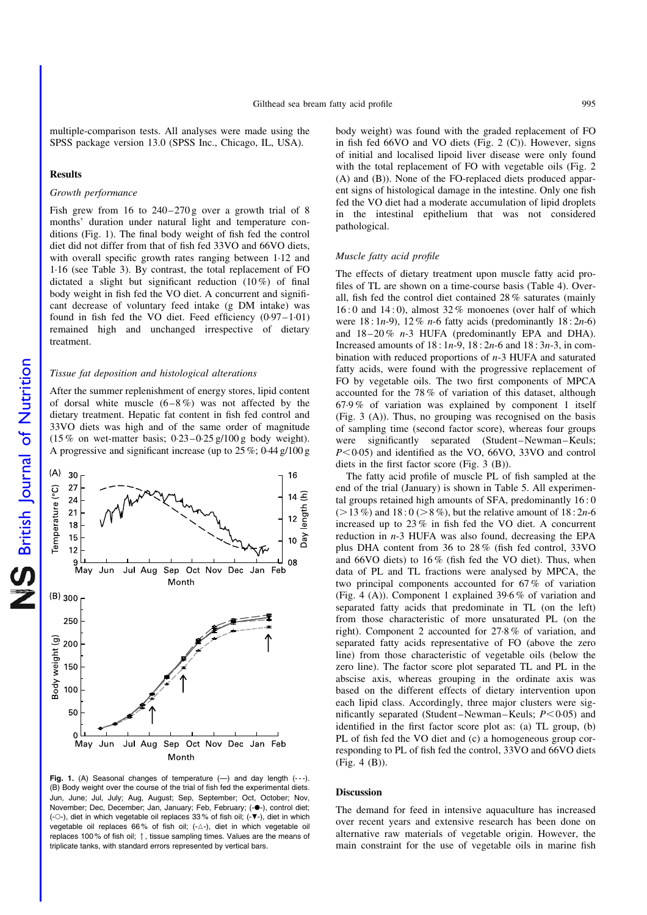multiple-comparison tests. All analyses were made using the SPSS package version 13.0 (SPSS Inc., Chicago, IL, USA).

#### Results

#### Growth performance

Fish grew from 16 to  $240-270$  g over a growth trial of 8 months' duration under natural light and temperature conditions (Fig. 1). The final body weight of fish fed the control diet did not differ from that of fish fed 33VO and 66VO diets, with overall specific growth rates ranging between 1·12 and 1·16 (see [Table 3\)](#page-4-0). By contrast, the total replacement of FO dictated a slight but significant reduction  $(10\%)$  of final body weight in fish fed the VO diet. A concurrent and significant decrease of voluntary feed intake (g DM intake) was found in fish fed the VO diet. Feed efficiency (0·97–1·01) remained high and unchanged irrespective of dietary treatment.

#### Tissue fat deposition and histological alterations

After the summer replenishment of energy stores, lipid content of dorsal white muscle  $(6-8\%)$  was not affected by the dietary treatment. Hepatic fat content in fish fed control and 33VO diets was high and of the same order of magnitude  $(15\%$  on wet-matter basis;  $0.23-0.25$  g/100 g body weight). A progressive and significant increase (up to 25 %; 0·44 g/100 g



Fig. 1. (A) Seasonal changes of temperature  $(-)$  and day length  $(--)$ . (B) Body weight over the course of the trial of fish fed the experimental diets. Jun, June; Jul, July; Aug, August; Sep, September; Oct, October; Nov, November; Dec, December; Jan, January; Feb, February; (-·), control diet; (- $\circ$ -), diet in which vegetable oil replaces 33% of fish oil; (- $\nabla$ -), diet in which vegetable oil replaces 66% of fish oil;  $(-\triangle)$ , diet in which vegetable oil replaces 100 % of fish oil; 1, tissue sampling times. Values are the means of triplicate tanks, with standard errors represented by vertical bars.

body weight) was found with the graded replacement of FO in fish fed 66VO and VO diets ([Fig. 2 \(C\)\)](#page-4-0). However, signs of initial and localised lipoid liver disease were only found with the total replacement of FO with vegetable oils [\(Fig. 2](#page-4-0)) [\(A\) and \(B\)\)](#page-4-0). None of the FO-replaced diets produced apparent signs of histological damage in the intestine. Only one fish fed the VO diet had a moderate accumulation of lipid droplets in the intestinal epithelium that was not considered pathological.

### Muscle fatty acid profile

The effects of dietary treatment upon muscle fatty acid profiles of TL are shown on a time-course basis ([Table 4](#page-5-0)). Overall, fish fed the control diet contained 28 % saturates (mainly 16 : 0 and 14 : 0), almost 32 % monoenes (over half of which were  $18:1n-9$ ,  $12\%$  n-6 fatty acids (predominantly  $18:2n-6$ ) and  $18-20\%$  n-3 HUFA (predominantly EPA and DHA). Increased amounts of  $18 : 1n-9$ ,  $18 : 2n-6$  and  $18 : 3n-3$ , in combination with reduced proportions of n-3 HUFA and saturated fatty acids, were found with the progressive replacement of FO by vegetable oils. The two first components of MPCA accounted for the 78 % of variation of this dataset, although 67·9 % of variation was explained by component 1 itself [\(Fig. 3 \(A\)](#page-6-0)). Thus, no grouping was recognised on the basis of sampling time (second factor score), whereas four groups were significantly separated (Student–Newman–Keuls;  $P<0.05$ ) and identified as the VO, 66VO, 33VO and control diets in the first factor score ([Fig. 3 \(B\)\)](#page-6-0).

The fatty acid profile of muscle PL of fish sampled at the end of the trial (January) is shown in [Table 5](#page-7-0). All experimental groups retained high amounts of SFA, predominantly 16 : 0  $(>13\%)$  and  $18:0 (> 8\%)$ , but the relative amount of  $18:2n-6$ increased up to 23 % in fish fed the VO diet. A concurrent reduction in  $n-3$  HUFA was also found, decreasing the EPA plus DHA content from 36 to 28 % (fish fed control, 33VO and 66VO diets) to 16 % (fish fed the VO diet). Thus, when data of PL and TL fractions were analysed by MPCA, the two principal components accounted for 67 % of variation [\(Fig. 4 \(A\)\)](#page-8-0). Component 1 explained 39·6 % of variation and separated fatty acids that predominate in TL (on the left) from those characteristic of more unsaturated PL (on the right). Component 2 accounted for 27·8 % of variation, and separated fatty acids representative of FO (above the zero line) from those characteristic of vegetable oils (below the zero line). The factor score plot separated TL and PL in the abscise axis, whereas grouping in the ordinate axis was based on the different effects of dietary intervention upon each lipid class. Accordingly, three major clusters were significantly separated (Student–Newman–Keuls;  $P < 0.05$ ) and identified in the first factor score plot as: (a) TL group, (b) PL of fish fed the VO diet and (c) a homogeneous group corresponding to PL of fish fed the control, 33VO and 66VO diets [\(Fig. 4 \(B\)\)](#page-8-0).

#### Discussion

The demand for feed in intensive aquaculture has increased over recent years and extensive research has been done on alternative raw materials of vegetable origin. However, the main constraint for the use of vegetable oils in marine fish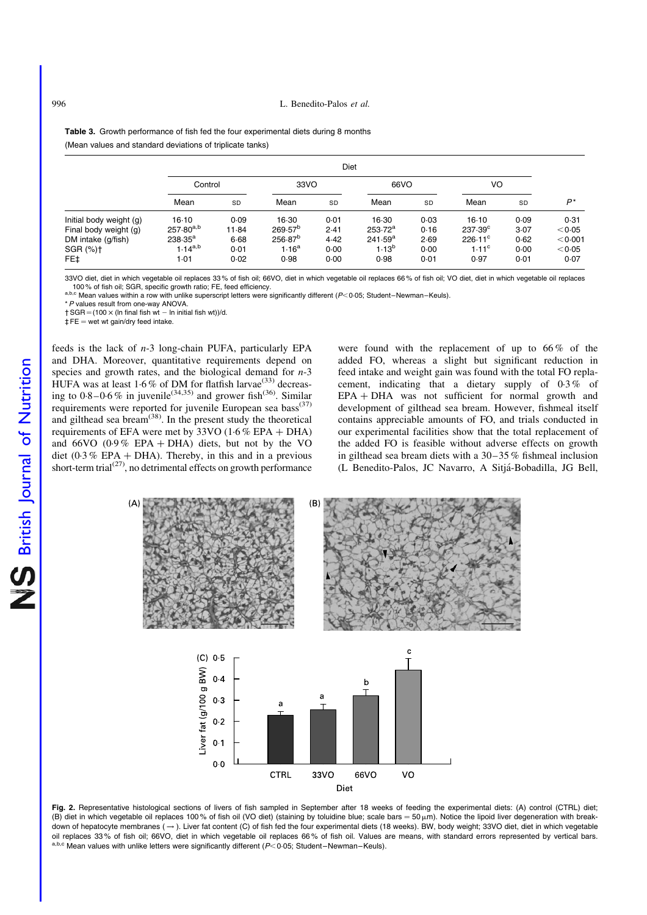<span id="page-4-0"></span>Table 3. Growth performance of fish fed the four experimental diets during 8 months (Mean values and standard deviations of triplicate tanks)

|                         |                | Diet  |                   |           |            |      |                   |      |         |  |  |  |  |
|-------------------------|----------------|-------|-------------------|-----------|------------|------|-------------------|------|---------|--|--|--|--|
|                         | Control        |       | 33VO              |           | 66VO       |      | VO                |      |         |  |  |  |  |
|                         | Mean           | SD    | Mean              | <b>SD</b> | Mean       | SD   | Mean              | SD   | $P^*$   |  |  |  |  |
| Initial body weight (g) | $16-10$        | 0.09  | 16.30             | 0.01      | 16.30      | 0.03 | $16-10$           | 0.09 | 0.31    |  |  |  |  |
| Final body weight (g)   | $257.80^{a,b}$ | 11.84 | $269.57^{b}$      | 2.41      | $253.72^a$ | 0.16 | $237.39^{\circ}$  | 3.07 | < 0.05  |  |  |  |  |
| DM intake (g/fish)      | $238.35^a$     | 6.68  | $256.87^{b}$      | 4.42      | $241.59^a$ | 2.69 | $226.11^{\circ}$  | 0.62 | < 0.001 |  |  |  |  |
| SGR (%)+                | $1.14^{a,b}$   | 0.01  | 1.16 <sup>a</sup> | 0.00      | $1.13^{b}$ | 0.00 | 1.11 <sup>c</sup> | 0.00 | < 0.05  |  |  |  |  |
| FE‡                     | 1.01           | 0.02  | 0.98              | 0.00      | 0.98       | 0.01 | 0.97              | 0.01 | 0.07    |  |  |  |  |

33VO diet, diet in which vegetable oil replaces 33% of fish oil; 66VO, diet in which vegetable oil replaces 66% of fish oil; VO diet, diet in which vegetable oil replaces<br>100% of fish oil; SGR, specific growth ratio; FE, f

100 % of fish of, SGR, specific growth ratio; FE, feed efficiency.<br>a,b,c Mean values within a row with unlike superscript letters were significantly different (P<0.05; Student–Newman–Keuls).

\*P values result from one-way ANOVA.

 $\dagger$  SGR = (100  $\times$  (ln final fish wt - ln initial fish wt))/d.

 $\ddagger$  FE = wet wt gain/dry feed intake.

feeds is the lack of n-3 long-chain PUFA, particularly EPA and DHA. Moreover, quantitative requirements depend on species and growth rates, and the biological demand for  $n-3$ HUFA was at least  $1.6\%$  of DM for flatfish larvae<sup>(33)</sup> decreasing to  $0.8-0.6\%$  in juvenile<sup>(34,35)</sup> and grower fish<sup>(36)</sup>. Similar requirements were reported for juvenile European sea bass<sup>(37)</sup> and gilthead sea bream<sup> $(38)$ </sup>. In the present study the theoretical requirements of EFA were met by  $33\text{VO}$  (1.6 % EPA + DHA) and 66VO (0.9% EPA + DHA) diets, but not by the VO diet (0.3 % EPA + DHA). Thereby, in this and in a previous short-term trial $(27)$ , no detrimental effects on growth performance

were found with the replacement of up to  $66\%$  of the added FO, whereas a slight but significant reduction in feed intake and weight gain was found with the total FO replacement, indicating that a dietary supply of 0·3 % of  $EPA + DHA$  was not sufficient for normal growth and development of gilthead sea bream. However, fishmeal itself contains appreciable amounts of FO, and trials conducted in our experimental facilities show that the total replacement of the added FO is feasible without adverse effects on growth in gilthead sea bream diets with a 30–35 % fishmeal inclusion (L Benedito-Palos, JC Navarro, A Sitja´-Bobadilla, JG Bell,



Fig. 2. Representative histological sections of livers of fish sampled in September after 18 weeks of feeding the experimental diets: (A) control (CTRL) diet; (B) diet in which vegetable oil replaces 100% of fish oil (VO diet) (staining by toluidine blue; scale bars =  $50 \,\mu\text{m}$ ). Notice the lipoid liver degeneration with breakdown of hepatocyte membranes  $( \rightarrow )$ . Liver fat content (C) of fish fed the four experimental diets (18 weeks). BW, body weight; 33VO diet, diet in which vegetable oil replaces 33 % of fish oil; 66VO, diet in which vegetable oil replaces 66 % of fish oil. Values are means, with standard errors represented by vertical bars. a,b,c Mean values with unlike letters were significantly different ( $P<$  0.05; Student–Newman–Keuls).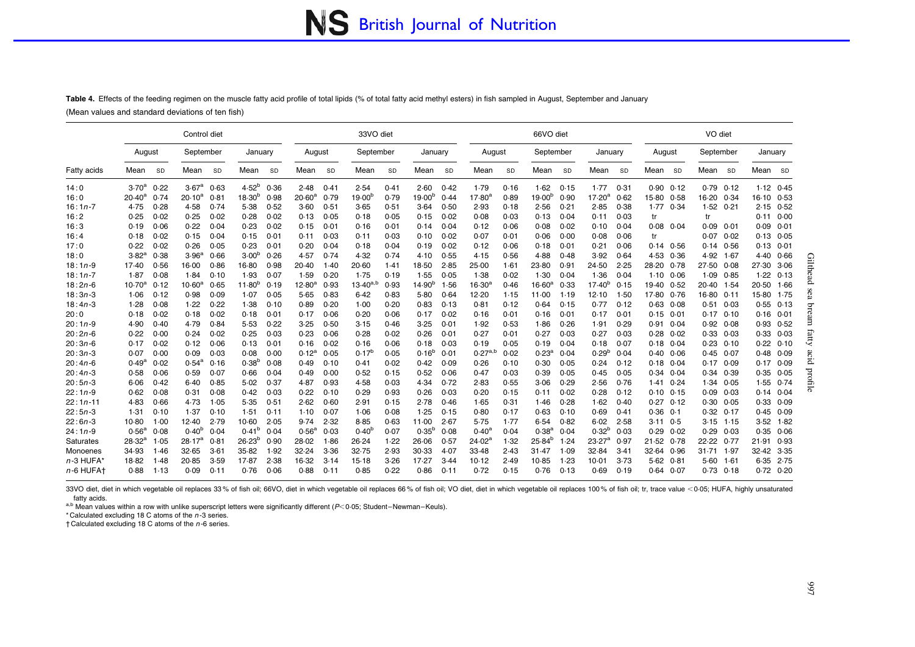# NS British Journal of Nutrition

<span id="page-5-0"></span>**Table 4.** Effects of the feeding regimen on the muscle fatty acid profile of total lipids (% of total fatty acid methyl esters) in fish sampled in August, September and January (Mean values and standard deviations of ten fish)

|             |                   |           | Control diet      |      |                   |           |                 |           | 33VO diet          |      |                    |      |                 |      | 66VO diet          |      |                 |           |         |      | VO diet   |           |               |                 |                         |
|-------------|-------------------|-----------|-------------------|------|-------------------|-----------|-----------------|-----------|--------------------|------|--------------------|------|-----------------|------|--------------------|------|-----------------|-----------|---------|------|-----------|-----------|---------------|-----------------|-------------------------|
|             | August            |           | September         |      | January           |           | August          |           | September          |      | January            |      | August          |      | September          |      | January         |           | August  |      | September |           | January       |                 |                         |
| Fatty acids | Mean              | <b>SD</b> | Mean              | SD   | Mean              | <b>SD</b> | Mean            | <b>SD</b> | Mean               | SD   | Mean               | SD   | Mean            | SD   | Mean               | SD   | Mean            | <b>SD</b> | Mean    | SD   | Mean      | <b>SD</b> | Mean          | SD <sub>3</sub> |                         |
| 14:0        | 3.70 <sup>a</sup> | 0.22      | 3.67 <sup>a</sup> | 0.63 | $4.52^{b}$        | 0.36      | 2.48            | 0.41      | 2.54               | 0.41 | 2.60               | 0.42 | 1.79            | 0.16 | 1.62               | 0.15 | 1.77            | 0.31      | 0.90    | 0.12 | 0.79      | 0.12      | $1.12$ $0.45$ |                 |                         |
| 16:0        | $20.40^a$         | 0.74      | $20.10^a$         | 0.81 | $18.30^{b}$       | 0.98      | $20.60^{\circ}$ | 0.79      | 19.00 <sup>b</sup> | 0.79 | 19.00 <sup>b</sup> | 0.44 | $17.80^{\circ}$ | 0.89 | 19.00 <sup>b</sup> | 0.90 | $17.20^a$       | 0.62      | $15-80$ | 0.58 | 16.20     | 0.34      | 16-10         | 0.53            |                         |
| $16:1n-7$   | 4.75              | 0.28      | 4.58              | 0.74 | 5.38              | 0.52      | 3.60            | 0.51      | 3.65               | 0.51 | 3.64               | 0.50 | 2.93            | 0.18 | 2.56               | 0.21 | 2.85            | 0.38      | 1.77    | 0.34 | 1.52      | 0.21      | $2.15$ $0.52$ |                 |                         |
| 16:2        | 0.25              | 0.02      | 0.25              | 0.02 | 0.28              | 0.02      | 0.13            | 0.05      | 0.18               | 0.05 | 0.15               | 0.02 | 0.08            | 0.03 | 0.13               | 0.04 | 0.11            | 0.03      | tr      |      | tr        |           | 0.11          | 0.00            |                         |
| 16:3        | 0.19              | 0.06      | 0.22              | 0.04 | 0.23              | 0.02      | 0.15            | 0.01      | 0.16               | 0.01 | 0.14               | 0.04 | 0.12            | 0.06 | 0.08               | 0.02 | 0.10            | 0.04      | 0.08    | 0.04 | 0.09      | 0.01      | 0.09          | 0.01            |                         |
| 16:4        | 0.18              | 0.02      | 0.15              | 0.04 | 0.15              | 0.01      | 0.11            | 0.03      | 0.11               | 0.03 | 0.10               | 0.02 | 0.07            | 0.01 | 0.06               | 0.00 | 0.08            | 0.06      | tr      |      | 0.07      | 0.02      | 0.13          | 0.05            |                         |
| 17:0        | 0.22              | 0.02      | 0.26              | 0.05 | 0.23              | 0.01      | 0.20            | 0.04      | 0.18               | 0.04 | 0.19               | 0.02 | 0.12            | 0.06 | 0.18               | 0.01 | 0.21            | 0.06      | 0.14    | 0.56 | 0.14      | 0.56      | 0.13          | 0.01            |                         |
| 18:0        | $3.82^{a}$        | 0.38      | 3.96 <sup>a</sup> | 0.66 | 3.00 <sup>b</sup> | 0.26      | 4.57            | 0.74      | 4.32               | 0.74 | 4.10               | 0.55 | 4.15            | 0.56 | 4.88               | 0.48 | 3.92            | 0.64      | 4.53    | 0.36 | 4.92      | 1.67      | 4.40          | 0.66            |                         |
| $18:1n-9$   | 17.40             | 0.56      | 16.00             | 0.86 | $16-80$           | 0.98      | 20.40           | 1.40      | 20.60              | 1.41 | 18.50              | 2.85 | 25.00           | 1.61 | 23.80              | 0.91 | 24.50           | 2.25      | 28.20   | 0.78 | 27.50     | 0.08      | 27.30         | 3.06            | Gilth                   |
| $18:1n-7$   | 1.87              | 0.08      | 1.84              | 0.10 | 1.93              | 0.07      | 1.59            | 0.20      | 1.75               | 0.19 | 1.55               | 0.05 | 1.38            | 0.02 | 1.30               | 0.04 | 1.36            | 0.04      | $1-10$  | 0.06 | 1.09      | 0.85      | 1.22          | 0.13            | ᠊᠗                      |
| $18:2n-6$   | $10.70^a$         | 0.12      | $10.60^{\rm a}$   | 0.65 | $11.80^{b}$       | 0.19      | $12.80^\circ$   | 0.93      | $13.40^{a,b}$      | 0.93 | 14.90 <sup>b</sup> | 1.56 | $16.30^{4}$     | 0.46 | 16.60 <sup>a</sup> | 0.33 | $17.40^{b}$     | 0.15      | 19.40   | 0.52 | 20.40     | 1.54      | 20.50         | 1.66            |                         |
| $18:3n-3$   | 1.06              | 0.12      | 0.98              | 0.09 | 1.07              | 0.05      | 5.65            | 0.83      | 6.42               | 0.83 | $5-80$             | 0.64 | 12.20           | 1.15 | 11.00              | 1.19 | 12.10           | 1.50      | 17.80   | 0.76 | 16.80     | 0.11      | 15.80         | 1.75            | e3                      |
| $18:4n-3$   | 1.28              | 0.08      | 1.22              | 0.22 | 1.38              | 0.10      | 0.89            | 0.20      | 1.00               | 0.20 | 0.83               | 0.13 | 0.81            | 0.12 | 0.64               | 0.15 | 0.77            | 0.12      | 0.63    | 0.08 | 0.51      | 0.03      | 0.55          | 0.13            | Ξ                       |
| 20:0        | 0.18              | 0.02      | 0.18              | 0.02 | 0.18              | 0.01      | 0.17            | 0.06      | 0.20               | 0.06 | 0.17               | 0.02 | 0.16            | 0.01 | 0.16               | 0.01 | 0.17            | 0.01      | 0.15    | 0.01 | 0.17      | 0.10      | 0.16          | 0.01            | cam                     |
| $20:1n-9$   | 4.90              | 0.40      | 4.79              | 0.84 | 5.53              | 0.22      | 3.25            | 0.50      | 3.15               | 0.46 | 3.25               | 0.01 | 1.92            | 0.53 | 1.86               | 0.26 | 1.91            | 0.29      | 0.91    | 0.04 | 0.92      | 0.08      | 0.93          | 0.52            |                         |
| $20:2n-6$   | 0.22              | 0.00      | 0.24              | 0.02 | 0.25              | 0.03      | 0.23            | 0.06      | 0.28               | 0.02 | 0.26               | 0.01 | 0.27            | 0.01 | 0.27               | 0.03 | 0.27            | 0.03      | 0.28    | 0.02 | 0.33      | 0.03      | 0.33          | 0.03            | fatty                   |
| $20:3n-6$   | 0.17              | 0.02      | 0.12              | 0.06 | 0.13              | 0.01      | 0.16            | 0.02      | 0.16               | 0.06 | 0.18               | 0.03 | 0.19            | 0.05 | 0.19               | 0.04 | 0.18            | 0.07      | 0.18    | 0.04 | 0.23      | 0.10      | 0.22          | 0.10            |                         |
| $20:3n-3$   | 0.07              | 0.00      | 0.09              | 0.03 | 0.08              | 0.00      | $0.12^{a}$      | 0.05      | $0.17^{b}$         | 0.05 | $0.16^{b}$         | 0.01 | $0.27^{a,b}$    | 0.02 | 0.23 <sup>e</sup>  | 0.04 | $0.29^{b}$      | 0.04      | 0.40    | 0.06 | 0.45      | 0.07      | 0.48          | 0.09            | æ                       |
| $20:4n-6$   | 0.49 <sup>6</sup> | 0.02      | $0.54^{\rm a}$    | 0.16 | $0.38^{b}$        | 0.08      | 0.49            | 0.10      | 0.41               | 0.02 | 0.42               | 0.09 | 0.26            | 0.10 | 0.30               | 0.05 | 0.24            | 0.12      | 0.18    | 0.04 | 0.17      | 0.09      | 0.17          | 0.09            | $\overline{\mathsf{d}}$ |
| $20:4n-3$   | 0.58              | 0.06      | 0.59              | 0.07 | 0.66              | 0.04      | 0.49            | 0.00      | 0.52               | 0.15 | 0.52               | 0.06 | 0.47            | 0.03 | 0.39               | 0.05 | 0.45            | 0.05      | 0.34    | 0.04 | 0.34      | 0.39      | 0.35          | 0.05            | $_{\rm mod}$            |
| $20:5n-3$   | 6.06              | 0.42      | 6.40              | 0.85 | 5.02              | 0.37      | 4.87            | 0.93      | 4.58               | 0.03 | 4.34               | 0.72 | 2.83            | 0.55 | 3.06               | 0.29 | 2.56            | 0.76      | 1.41    | 0.24 | 1.34      | 0.05      | 1.55          | 0.74            |                         |
| $22:1n-9$   | 0.62              | 0.08      | 0.31              | 0.08 | 0.42              | 0.03      | 0.22            | 0.10      | 0.29               | 0.93 | 0.26               | 0.03 | 0.20            | 0.15 | 0.11               | 0.02 | 0.28            | 0.12      | 0.10    | 0.15 | 0.09      | 0.03      | 0.14          | 0.04            | ᠬ                       |
| $22:1n-11$  | 4.83              | 0.66      | 4.73              | 1.05 | 5.35              | 0.51      | 2.62            | 0.60      | 2.91               | 0.15 | 2.78               | 0.46 | 1.65            | 0.31 | 1.46               | 0.28 | 1.62            | 0.40      | 0.27    | 0.12 | 0.30      | 0.05      | 0.33          | 0.09            |                         |
| $22:5n-3$   | 1.31              | 0.10      | 1.37              | 0.10 | 1.51              | 0.11      | 1.10            | 0.07      | 1.06               | 0.08 | 1.25               | 0.15 | 0.80            | 0.17 | 0.63               | 0.10 | 0.69            | 0.41      | 0.36    | 0.1  | 0.32      | 0.17      | 0.45          | 0.09            |                         |
| $22:6n-3$   | $10-80$           | 1.00      | 12.40             | 2.79 | 10.60             | 2.05      | 9.74            | 2.32      | $8 - 85$           | 0.63 | 11.00              | 2.67 | 5.75            | 1.77 | 6.54               | 0.82 | 6.02            | 2.58      | 3.11    | 0.5  | 3.15      | 1.15      | 3.52          | 1.82            |                         |
| $24:1n-9$   | 0.56 <sup>a</sup> | 0.08      | $0.40^{b}$        | 0.04 | $0.41^{b}$        | 0.04      | $0.56^{\circ}$  | 0.03      | $0.40^{b}$         | 0.07 | $0.35^{b}$         | 0.08 | $0.40^{\circ}$  | 0.04 | 0.38 <sup>a</sup>  | 0.04 | $0.32^{b}$      | 0.03      | 0.29    | 0.02 | 0.29      | 0.03      | 0.35          | 0.06            |                         |
| Saturates   | $28.32^{a}$       | .05       | $28.17^{a}$       | 0.81 | $26.23^{b}$       | 0.90      | 28.02           | 1.86      | 26.24              | 1.22 | 26.06              | 0.57 | $24.02^{\circ}$ | 1.32 | $25.84^{b}$        | 1.24 | $23.27^{\circ}$ | 0.97      | 21.52   | 0.78 | 22.22     | 0.77      | 21.91         | 0.93            |                         |
| Monoenes    | 34.93             | 1.46      | 32.65             | 3.61 | 35.82             | 1.92      | 32.24           | 3.36      | 32.75              | 2.93 | 30.33              | 4.07 | 33.48           | 2.43 | 31.47              | 1.09 | 32.84           | 3.41      | 32.64   | 0.96 | 31.71     | 1.97      | 32.42         | 3.35            |                         |
| $n-3$ HUFA  | 18.82             | .48       | 20.85             | 3.59 | 17.87             | 2.38      | 16.32           | 3.14      | 15.18              | 3.26 | 17.27              | 3.44 | 10.12           | 2.49 | 10.85              | 1.23 | 10.01           | 3.73      | 5.62    | 0.81 | 5.60      | 1.61      | 6.35          | 2.75            |                         |
| n-6 HUFAt   | 0.88              | 1.13      | 0.09              | 0.11 | 0.76              | 0.06      | 0.88            | 0.11      | 0.85               | 0.22 | 0.86               | 0.11 | 0.72            | 0.15 | 0.76               | 0.13 | 0.69            | 0.19      | 0.64    | 0.07 | 0.73      | 0.18      | $0.72$ $0.20$ |                 |                         |

33VO diet, diet in which vegetable oil replaces 33% of fish oil; 66VO, diet in which vegetable oil replaces 66% of fish oil; VO diet, diet in which vegetable oil replaces 100% of fish oil; tr, trace value <0.05; HUFA, high fatty acids.

a,b Mean values within a row with unlike superscript letters were significantly different ( $P<$ 0.05; Student–Newman–Keuls).

\* Calculated excluding 18 C atoms of the <sup>n</sup> -3 series.

 $\dagger$  Calculated excluding 18 C atoms of the  $n$ -6 series.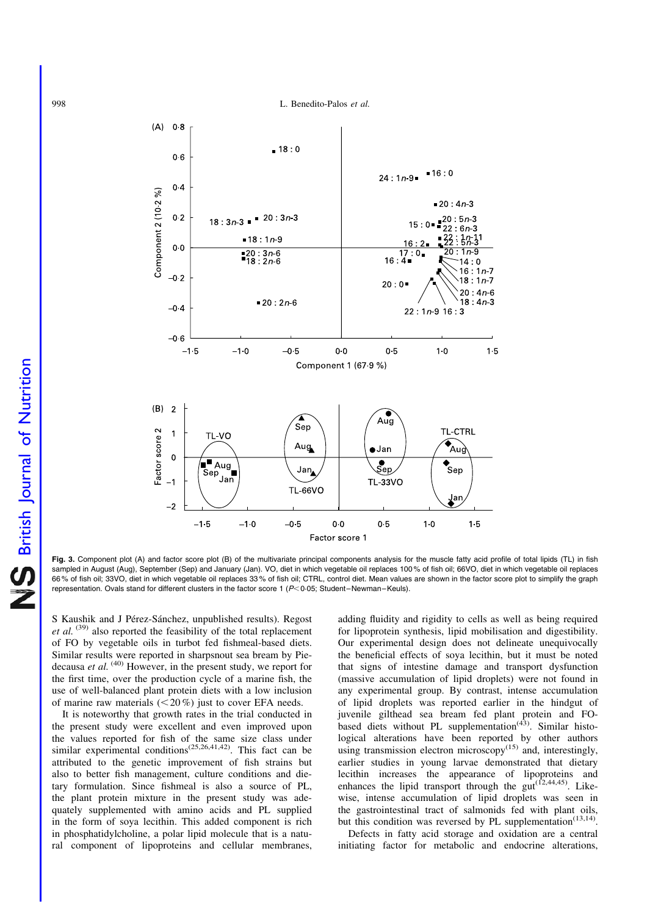

Fig. 3. Component plot (A) and factor score plot (B) of the multivariate principal components analysis for the muscle fatty acid profile of total lipids (TL) in fish sampled in August (Aug), September (Sep) and January (Jan). VO, diet in which vegetable oil replaces 100% of fish oil; 66VO, diet in which vegetable oil replaces 66 % of fish oil; 33VO, diet in which vegetable oil replaces 33 % of fish oil; CTRL, control diet. Mean values are shown in the factor score plot to simplify the graph representation. Ovals stand for different clusters in the factor score 1 ( $P$ < 0.05; Student–Newman–Keuls).

S Kaushik and J Pérez-Sánchez, unpublished results). Regost et al.  $(39)$  also reported the feasibility of the total replacement of FO by vegetable oils in turbot fed fishmeal-based diets. Similar results were reported in sharpsnout sea bream by Piedecausa *et al.*  $(40)$  However, in the present study, we report for the first time, over the production cycle of a marine fish, the use of well-balanced plant protein diets with a low inclusion of marine raw materials  $(<20\%)$  just to cover EFA needs.

It is noteworthy that growth rates in the trial conducted in the present study were excellent and even improved upon the values reported for fish of the same size class under similar experimental conditions<sup>(25,26,41,42)</sup>. This fact can be attributed to the genetic improvement of fish strains but also to better fish management, culture conditions and dietary formulation. Since fishmeal is also a source of PL, the plant protein mixture in the present study was adequately supplemented with amino acids and PL supplied in the form of soya lecithin. This added component is rich in phosphatidylcholine, a polar lipid molecule that is a natural component of lipoproteins and cellular membranes,

adding fluidity and rigidity to cells as well as being required for lipoprotein synthesis, lipid mobilisation and digestibility. Our experimental design does not delineate unequivocally the beneficial effects of soya lecithin, but it must be noted that signs of intestine damage and transport dysfunction (massive accumulation of lipid droplets) were not found in any experimental group. By contrast, intense accumulation of lipid droplets was reported earlier in the hindgut of juvenile gilthead sea bream fed plant protein and FObased diets without PL supplementation<sup> $(43)$ </sup>. Similar histological alterations have been reported by other authors using transmission electron microscopy $(15)$  and, interestingly, earlier studies in young larvae demonstrated that dietary lecithin increases the appearance of lipoproteins and enhances the lipid transport through the  $gut^{(12,44,45)}$ . Likewise, intense accumulation of lipid droplets was seen in the gastrointestinal tract of salmonids fed with plant oils, but this condition was reversed by PL supplementation<sup>(13,14)</sup>.

Defects in fatty acid storage and oxidation are a central initiating factor for metabolic and endocrine alterations,

<span id="page-6-0"></span>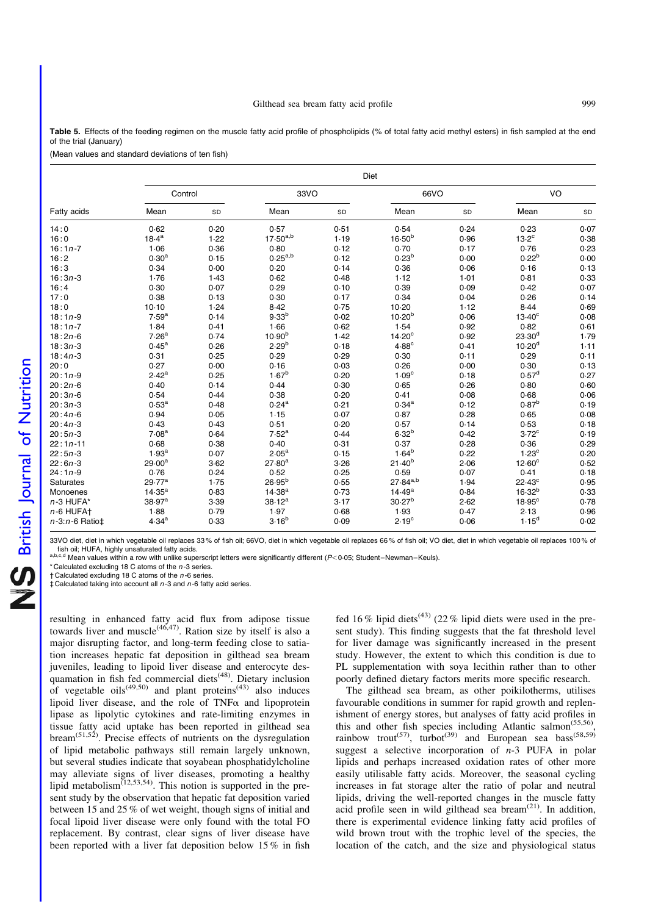<span id="page-7-0"></span>Table 5. Effects of the feeding regimen on the muscle fatty acid profile of phospholipids (% of total fatty acid methyl esters) in fish sampled at the end of the trial (January)

(Mean values and standard deviations of ten fish)

|                      | Diet               |      |                    |      |                    |      |                    |      |  |  |  |  |  |  |
|----------------------|--------------------|------|--------------------|------|--------------------|------|--------------------|------|--|--|--|--|--|--|
| Fatty acids          | Control            |      | 33VO               |      | 66VO               |      | VO                 |      |  |  |  |  |  |  |
|                      | Mean               | SD   | Mean               | SD   | Mean               | SD   | Mean               | SD   |  |  |  |  |  |  |
| 14:0                 | 0.62               | 0.20 | 0.57               | 0.51 | 0.54               | 0.24 | 0.23               | 0.07 |  |  |  |  |  |  |
| 16:0                 | $18.4^{a}$         | 1.22 | $17.50^{a,b}$      | 1.19 | $16.50^{b}$        | 0.96 | $13.2^{\circ}$     | 0.38 |  |  |  |  |  |  |
| $16:1n-7$            | 1.06               | 0.36 | 0.80               | 0.12 | 0.70               | 0.17 | 0.76               | 0.23 |  |  |  |  |  |  |
| 16:2                 | 0.30 <sup>a</sup>  | 0.15 | $0.25^{a,b}$       | 0.12 | 0.23 <sup>b</sup>  | 0.00 | 0.22 <sup>b</sup>  | 0.00 |  |  |  |  |  |  |
| 16:3                 | 0.34               | 0.00 | 0.20               | 0.14 | 0.36               | 0.06 | 0.16               | 0.13 |  |  |  |  |  |  |
| $16:3n-3$            | 1.76               | 1.43 | 0.62               | 0.48 | 1.12               | 1.01 | 0.81               | 0.33 |  |  |  |  |  |  |
| 16:4                 | 0.30               | 0.07 | 0.29               | 0.10 | 0.39               | 0.09 | 0.42               | 0.07 |  |  |  |  |  |  |
| 17:0                 | 0.38               | 0.13 | 0.30               | 0.17 | 0.34               | 0.04 | 0.26               | 0.14 |  |  |  |  |  |  |
| 18:0                 | 10.10              | 1.24 | 8.42               | 0.75 | 10-20              | 1.12 | 8.44               | 0.69 |  |  |  |  |  |  |
| $18:1n-9$            | 7.59 <sup>a</sup>  | 0.14 | 9.33 <sup>b</sup>  | 0.02 | 10.20 <sup>b</sup> | 0.06 | $13.40^{\circ}$    | 0.08 |  |  |  |  |  |  |
| $18:1n-7$            | 1.84               | 0.41 | 1.66               | 0.62 | 1.54               | 0.92 | 0.82               | 0.61 |  |  |  |  |  |  |
| $18:2n-6$            | 7.26 <sup>a</sup>  | 0.74 | 10.90 <sup>b</sup> | 1.42 | 14.20 <sup>c</sup> | 0.92 | $23.30^{d}$        | 1.79 |  |  |  |  |  |  |
| $18:3n-3$            | $0.45^{\rm a}$     | 0.26 | 2.29 <sup>b</sup>  | 0.18 | 4.88 <sup>c</sup>  | 0.41 | 10.20 <sup>d</sup> | 1.11 |  |  |  |  |  |  |
| $18:4n-3$            | 0.31               | 0.25 | 0.29               | 0.29 | 0.30               | 0.11 | 0.29               | 0.11 |  |  |  |  |  |  |
| 20:0                 | 0.27               | 0.00 | 0.16               | 0.03 | 0.26               | 0.00 | 0.30               | 0.13 |  |  |  |  |  |  |
| $20:1n-9$            | 2.42 <sup>a</sup>  | 0.25 | $1.67^{b}$         | 0.20 | 1.09 <sup>c</sup>  | 0.18 | 0.57 <sup>d</sup>  | 0.27 |  |  |  |  |  |  |
| $20:2n-6$            | 0.40               | 0.14 | 0.44               | 0.30 | 0.65               | 0.26 | 0.80               | 0.60 |  |  |  |  |  |  |
| $20:3n-6$            | 0.54               | 0.44 | 0.38               | 0.20 | 0.41               | 0.08 | 0.68               | 0.06 |  |  |  |  |  |  |
| $20:3n-3$            | $0.53^{a}$         | 0.48 | $0.24^{a}$         | 0.21 | $0.34^{a}$         | 0.12 | $0.87^{b}$         | 0.19 |  |  |  |  |  |  |
| $20:4n-6$            | 0.94               | 0.05 | 1.15               | 0.07 | 0.87               | 0.28 | 0.65               | 0.08 |  |  |  |  |  |  |
| $20:4n-3$            | 0.43               | 0.43 | 0.51               | 0.20 | 0.57               | 0.14 | 0.53               | 0.18 |  |  |  |  |  |  |
| $20:5n-3$            | 7.08 <sup>a</sup>  | 0.64 | 7.52 <sup>a</sup>  | 0.44 | $6.32^{b}$         | 0.42 | $3.72^{\circ}$     | 0.19 |  |  |  |  |  |  |
| $22:1n-11$           | 0.68               | 0.38 | 0.40               | 0.31 | 0.37               | 0.28 | 0.36               | 0.29 |  |  |  |  |  |  |
| $22:5n-3$            | 1.93 <sup>a</sup>  | 0.07 | $2.05^{\text{a}}$  | 0.15 | $1.64^{b}$         | 0.22 | 1.23 <sup>c</sup>  | 0.20 |  |  |  |  |  |  |
| $22:6n-3$            | $29.00^a$          | 3.62 | $27.80^{a}$        | 3.26 | $21.40^{b}$        | 2.06 | $12.60^{\circ}$    | 0.52 |  |  |  |  |  |  |
| $24:1n-9$            | 0.76               | 0.24 | 0.52               | 0.25 | 0.59               | 0.07 | 0.41               | 0.18 |  |  |  |  |  |  |
| Saturates            | 29.77 <sup>a</sup> | 1.75 | $26.95^{b}$        | 0.55 | $27.84^{a,b}$      | 1.94 | $22.43^{\circ}$    | 0.95 |  |  |  |  |  |  |
| Monoenes             | $14.35^{a}$        | 0.83 | $14.38^{a}$        | 0.73 | 14.49 <sup>a</sup> | 0.84 | $16.32^{b}$        | 0.33 |  |  |  |  |  |  |
| $n-3$ HUFA*          | 38.97 <sup>a</sup> | 3.39 | $38.12^{a}$        | 3.17 | 30.27 <sup>b</sup> | 2.62 | $18.95^{\circ}$    | 0.78 |  |  |  |  |  |  |
| $n-6$ HUFA $\dagger$ | 1.88               | 0.79 | 1.97               | 0.68 | 1.93               | 0.47 | 2.13               | 0.96 |  |  |  |  |  |  |
| $n-3:n-6$ Ratio‡     | 4.34 <sup>a</sup>  | 0.33 | $3.16^{b}$         | 0.09 | 2.19 <sup>c</sup>  | 0.06 | 1.15 <sup>d</sup>  | 0.02 |  |  |  |  |  |  |

33VO diet, diet in which vegetable oil replaces 33% of fish oil; 66VO, diet in which vegetable oil replaces 66% of fish oil; VO diet, diet in which vegetable oil replaces 100% of fish oil; HUFA, highly unsaturated fatty ac

fish oil; Hor A, highly ansaturated ratty acids.<br> $a,b,c,d$  Mean values within a row with unlike superscript letters were significantly different ( $P$ <0·05; Student–Newman–Keuls).

\* Calculated excluding 18 C atoms of the  $n-3$  series.

 $\dagger$  Calculated excluding 18 C atoms of the  $n$ -6 series.  $\ddagger$  Calculated taking into account all  $n-3$  and  $n-6$  fatty acid series.

resulting in enhanced fatty acid flux from adipose tissue towards liver and muscle<sup> $(46,47)$ </sup>. Ration size by itself is also a major disrupting factor, and long-term feeding close to satiation increases hepatic fat deposition in gilthead sea bream juveniles, leading to lipoid liver disease and enterocyte desquamation in fish fed commercial diets<sup>(48)</sup>. Dietary inclusion of vegetable  $oils^{(49,50)}$  and plant proteins<sup>(43)</sup> also induces lipoid liver disease, and the role of  $TNF\alpha$  and lipoprotein lipase as lipolytic cytokines and rate-limiting enzymes in tissue fatty acid uptake has been reported in gilthead sea bream<sup>(51,52</sup>). Precise effects of nutrients on the dysregulation of lipid metabolic pathways still remain largely unknown, but several studies indicate that soyabean phosphatidylcholine may alleviate signs of liver diseases, promoting a healthy lipid metabolism $(12,53,54)$ . This notion is supported in the present study by the observation that hepatic fat deposition varied between 15 and 25 % of wet weight, though signs of initial and focal lipoid liver disease were only found with the total FO replacement. By contrast, clear signs of liver disease have been reported with a liver fat deposition below 15 % in fish fed 16 % lipid diets<sup>(43)</sup> (22 % lipid diets were used in the present study). This finding suggests that the fat threshold level for liver damage was significantly increased in the present study. However, the extent to which this condition is due to PL supplementation with soya lecithin rather than to other poorly defined dietary factors merits more specific research.

The gilthead sea bream, as other poikilotherms, utilises favourable conditions in summer for rapid growth and replenishment of energy stores, but analyses of fatty acid profiles in this and other fish species including Atlantic salmon<sup>(55,56)</sup> rainbow trout<sup>(57)</sup>, turbot<sup>(39)</sup> and European sea bass<sup>(58,59)</sup> suggest a selective incorporation of  $n-3$  PUFA in polar lipids and perhaps increased oxidation rates of other more easily utilisable fatty acids. Moreover, the seasonal cycling increases in fat storage alter the ratio of polar and neutral lipids, driving the well-reported changes in the muscle fatty acid profile seen in wild gilthead sea bream(21). In addition, there is experimental evidence linking fatty acid profiles of wild brown trout with the trophic level of the species, the location of the catch, and the size and physiological status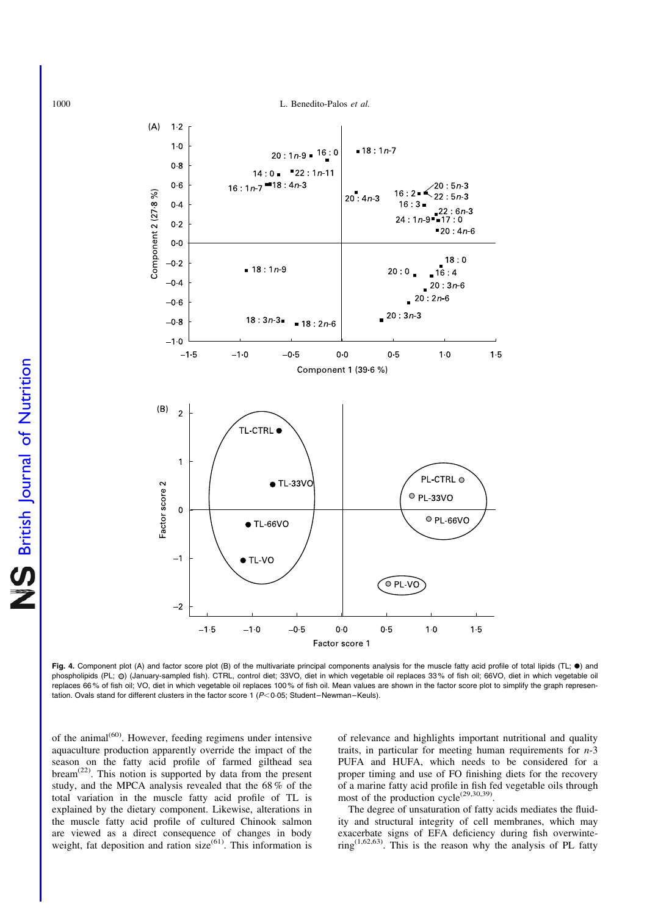<span id="page-8-0"></span>

Fig. 4. Component plot (A) and factor score plot (B) of the multivariate principal components analysis for the muscle fatty acid profile of total lipids (TL;  $\bullet$ ) and phospholipids (PL;  $\circ$ ) (January-sampled fish). CTRL, control diet; 33VO, diet in which vegetable oil replaces 33% of fish oil; 66VO, diet in which vegetable oil replaces 66 % of fish oil; VO, diet in which vegetable oil replaces 100 % of fish oil. Mean values are shown in the factor score plot to simplify the graph representation. Ovals stand for different clusters in the factor score  $1$  ( $P < 0.05$ ; Student–Newman–Keuls).

of the animal(60). However, feeding regimens under intensive aquaculture production apparently override the impact of the season on the fatty acid profile of farmed gilthead sea bream<sup>(22)</sup>. This notion is supported by data from the present study, and the MPCA analysis revealed that the 68 % of the total variation in the muscle fatty acid profile of TL is explained by the dietary component. Likewise, alterations in the muscle fatty acid profile of cultured Chinook salmon are viewed as a direct consequence of changes in body weight, fat deposition and ration size<sup>(61)</sup>. This information is of relevance and highlights important nutritional and quality traits, in particular for meeting human requirements for  $n-3$ PUFA and HUFA, which needs to be considered for a proper timing and use of FO finishing diets for the recovery of a marine fatty acid profile in fish fed vegetable oils through most of the production  $cycle^{(29,30,39)}$ .

The degree of unsaturation of fatty acids mediates the fluidity and structural integrity of cell membranes, which may exacerbate signs of EFA deficiency during fish overwinte- $\text{ring}^{(1,62,63)}$ . This is the reason why the analysis of PL fatty

**NS** British Journal of Nutrition British Journal of Nutrition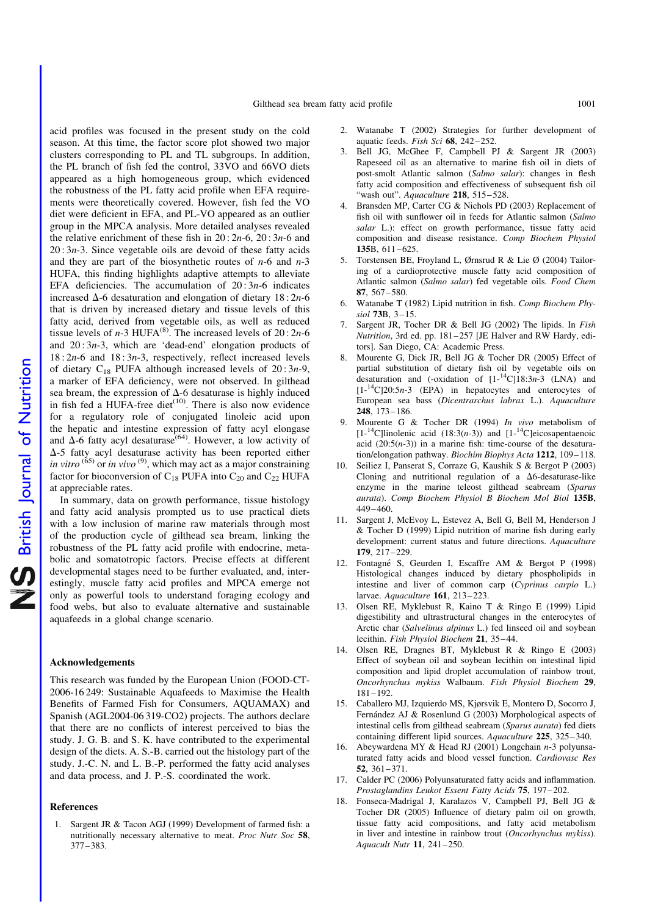acid profiles was focused in the present study on the cold season. At this time, the factor score plot showed two major clusters corresponding to PL and TL subgroups. In addition, the PL branch of fish fed the control, 33VO and 66VO diets appeared as a high homogeneous group, which evidenced the robustness of the PL fatty acid profile when EFA requirements were theoretically covered. However, fish fed the VO diet were deficient in EFA, and PL-VO appeared as an outlier group in the MPCA analysis. More detailed analyses revealed the relative enrichment of these fish in  $20:2n-6$ ,  $20:3n-6$  and  $20:3n-3$ . Since vegetable oils are devoid of these fatty acids and they are part of the biosynthetic routes of  $n-6$  and  $n-3$ HUFA, this finding highlights adaptive attempts to alleviate EFA deficiencies. The accumulation of  $20:3n-6$  indicates increased  $\Delta$ -6 desaturation and elongation of dietary 18:2n-6 that is driven by increased dietary and tissue levels of this fatty acid, derived from vegetable oils, as well as reduced tissue levels of  $n-3$  HUFA<sup>(8)</sup>. The increased levels of  $20:2n-6$ and  $20:3n-3$ , which are 'dead-end' elongation products of  $18:2n-6$  and  $18:3n-3$ , respectively, reflect increased levels of dietary  $C_{18}$  PUFA although increased levels of  $20:3n-9$ , a marker of EFA deficiency, were not observed. In gilthead sea bream, the expression of  $\Delta$ -6 desaturase is highly induced in fish fed a HUFA-free diet $(10)$ . There is also now evidence for a regulatory role of conjugated linoleic acid upon the hepatic and intestine expression of fatty acyl elongase and  $\Delta$ -6 fatty acyl desaturase<sup>(64)</sup>. However, a low activity of  $\Delta$ -5 fatty acyl desaturase activity has been reported either in vitro (65) or in vivo <sup>(9)</sup>, which may act as a major constraining factor for bioconversion of  $C_{18}$  PUFA into  $C_{20}$  and  $C_{22}$  HUFA at appreciable rates.

In summary, data on growth performance, tissue histology and fatty acid analysis prompted us to use practical diets with a low inclusion of marine raw materials through most of the production cycle of gilthead sea bream, linking the robustness of the PL fatty acid profile with endocrine, metabolic and somatotropic factors. Precise effects at different developmental stages need to be further evaluated, and, interestingly, muscle fatty acid profiles and MPCA emerge not only as powerful tools to understand foraging ecology and food webs, but also to evaluate alternative and sustainable aquafeeds in a global change scenario.

#### Acknowledgements

This research was funded by the European Union (FOOD-CT-2006-16 249: Sustainable Aquafeeds to Maximise the Health Benefits of Farmed Fish for Consumers, AQUAMAX) and Spanish (AGL2004-06 319-CO2) projects. The authors declare that there are no conflicts of interest perceived to bias the study. J. G. B. and S. K. have contributed to the experimental design of the diets. A. S.-B. carried out the histology part of the study. J.-C. N. and L. B.-P. performed the fatty acid analyses and data process, and J. P.-S. coordinated the work.

#### References

1. Sargent JR & Tacon AGJ (1999) Development of farmed fish: a nutritionally necessary alternative to meat. Proc Nutr Soc 58, 377–383.

- 2. Watanabe T (2002) Strategies for further development of aquatic feeds. Fish Sci  $68$ ,  $242-252$ .
- 3. Bell JG, McGhee F, Campbell PJ & Sargent JR (2003) Rapeseed oil as an alternative to marine fish oil in diets of post-smolt Atlantic salmon (Salmo salar): changes in flesh fatty acid composition and effectiveness of subsequent fish oil "wash out". Aquaculture 218, 515-528.
- 4. Bransden MP, Carter CG & Nichols PD (2003) Replacement of fish oil with sunflower oil in feeds for Atlantic salmon (Salmo salar L.): effect on growth performance, tissue fatty acid composition and disease resistance. Comp Biochem Physiol 135B, 611–625.
- Torstensen BE, Froyland L, Ørnsrud R & Lie Ø (2004) Tailoring of a cardioprotective muscle fatty acid composition of Atlantic salmon (Salmo salar) fed vegetable oils. Food Chem 87, 567–580.
- 6. Watanabe T (1982) Lipid nutrition in fish. Comp Biochem Physiol 73B, 3–15.
- 7. Sargent JR, Tocher DR & Bell JG (2002) The lipids. In Fish Nutrition, 3rd ed. pp. 181–257 [JE Halver and RW Hardy, editors]. San Diego, CA: Academic Press.
- 8. Mourente G, Dick JR, Bell JG & Tocher DR (2005) Effect of partial substitution of dietary fish oil by vegetable oils on desaturation and (-oxidation of  $[1^{-14}C]18:3n-3$  (LNA) and  $[1 - {^{14}C}]20:5n-3$  (EPA) in hepatocytes and enterocytes of European sea bass (Dicentrarchus labrax L.). Aquaculture 248, 173–186.
- 9. Mourente G & Tocher DR (1994) In vivo metabolism of  $[1<sup>-14</sup>C]$ linolenic acid (18:3(n-3)) and  $[1<sup>-14</sup>C]$ eicosapentaenoic acid  $(20:5(n-3))$  in a marine fish: time-course of the desaturation/elongation pathway. Biochim Biophys Acta 1212, 109–118.
- 10. Seiliez I, Panserat S, Corraze G, Kaushik S & Bergot P (2003) Cloning and nutritional regulation of a  $\Delta 6$ -desaturase-like enzyme in the marine teleost gilthead seabream (Sparus aurata). Comp Biochem Physiol B Biochem Mol Biol 135B, 449–460.
- 11. Sargent J, McEvoy L, Estevez A, Bell G, Bell M, Henderson J & Tocher D (1999) Lipid nutrition of marine fish during early development: current status and future directions. Aquaculture 179, 217–229.
- 12. Fontagné S, Geurden I, Escaffre AM & Bergot P (1998) Histological changes induced by dietary phospholipids in intestine and liver of common carp (Cyprinus carpio L.) larvae. Aquaculture 161, 213–223.
- 13. Olsen RE, Myklebust R, Kaino T & Ringo E (1999) Lipid digestibility and ultrastructural changes in the enterocytes of Arctic char (Salvelinus alpinus L.) fed linseed oil and soybean lecithin. Fish Physiol Biochem 21, 35–44.
- 14. Olsen RE, Dragnes BT, Myklebust R & Ringo E (2003) Effect of soybean oil and soybean lecithin on intestinal lipid composition and lipid droplet accumulation of rainbow trout, Oncorhynchus mykiss Walbaum. Fish Physiol Biochem 29, 181–192.
- 15. Caballero MJ, Izquierdo MS, Kjørsvik E, Montero D, Socorro J, Fernández AJ & Rosenlund G (2003) Morphological aspects of intestinal cells from gilthead seabream (Sparus aurata) fed diets containing different lipid sources. Aquaculture 225, 325–340.
- 16. Abeywardena MY & Head RJ (2001) Longchain n-3 polyunsaturated fatty acids and blood vessel function. Cardiovasc Res 52, 361–371.
- 17. Calder PC (2006) Polyunsaturated fatty acids and inflammation. Prostaglandins Leukot Essent Fatty Acids 75, 197–202.
- 18. Fonseca-Madrigal J, Karalazos V, Campbell PJ, Bell JG & Tocher DR (2005) Influence of dietary palm oil on growth, tissue fatty acid compositions, and fatty acid metabolism in liver and intestine in rainbow trout (Oncorhynchus mykiss). Aquacult Nutr 11, 241–250.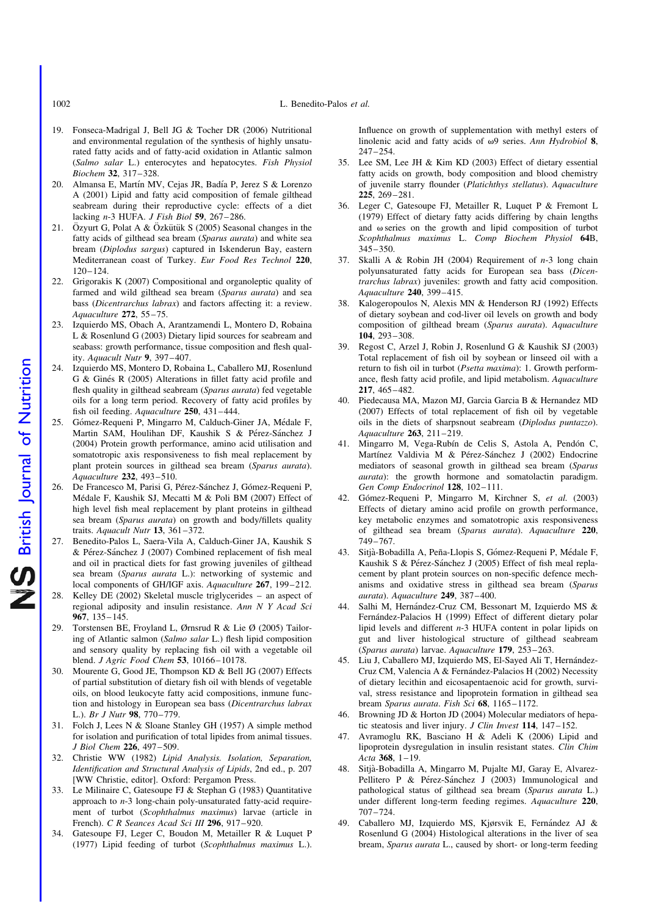1002 L. Benedito-Palos et al.

- 19. Fonseca-Madrigal J, Bell JG & Tocher DR (2006) Nutritional and environmental regulation of the synthesis of highly unsaturated fatty acids and of fatty-acid oxidation in Atlantic salmon (Salmo salar L.) enterocytes and hepatocytes. Fish Physiol Biochem 32, 317–328.
- 20. Almansa E, Martín MV, Cejas JR, Badía P, Jerez S & Lorenzo A (2001) Lipid and fatty acid composition of female gilthead seabream during their reproductive cycle: effects of a diet lacking  $n-3$  HUFA. *J Fish Biol* 59, 267-286.
- 21. Özyurt G, Polat A & Özkütük S (2005) Seasonal changes in the fatty acids of gilthead sea bream (Sparus aurata) and white sea bream (Diplodus sargus) captured in Iskenderun Bay, eastern Mediterranean coast of Turkey. Eur Food Res Technol 220, 120–124.
- 22. Grigorakis K (2007) Compositional and organoleptic quality of farmed and wild gilthead sea bream (Sparus aurata) and sea bass (Dicentrarchus labrax) and factors affecting it: a review. Aquaculture 272, 55–75.
- 23. Izquierdo MS, Obach A, Arantzamendi L, Montero D, Robaina L & Rosenlund G (2003) Dietary lipid sources for seabream and seabass: growth performance, tissue composition and flesh quality. Aquacult Nutr 9, 397–407.
- 24. Izquierdo MS, Montero D, Robaina L, Caballero MJ, Rosenlund G & Ginés R (2005) Alterations in fillet fatty acid profile and flesh quality in gilthead seabream (Sparus aurata) fed vegetable oils for a long term period. Recovery of fatty acid profiles by fish oil feeding. Aquaculture 250, 431–444.
- 25. Gómez-Requeni P, Mingarro M, Calduch-Giner JA, Médale F, Martin SAM, Houlihan DF, Kaushik S & Pérez-Sánchez J (2004) Protein growth performance, amino acid utilisation and somatotropic axis responsiveness to fish meal replacement by plant protein sources in gilthead sea bream (Sparus aurata). Aquaculture 232, 493–510.
- 26. De Francesco M, Parisi G, Pérez-Sánchez J, Gómez-Requeni P, Médale F, Kaushik SJ, Mecatti M & Poli BM (2007) Effect of high level fish meal replacement by plant proteins in gilthead sea bream (Sparus aurata) on growth and body/fillets quality traits. Aquacult Nutr 13, 361-372.
- 27. Benedito-Palos L, Saera-Vila A, Calduch-Giner JA, Kaushik S & Pérez-Sánchez J (2007) Combined replacement of fish meal and oil in practical diets for fast growing juveniles of gilthead sea bream (Sparus aurata L.): networking of systemic and local components of GH/IGF axis. Aquaculture 267, 199-212.
- 28. Kelley DE (2002) Skeletal muscle triglycerides an aspect of regional adiposity and insulin resistance. Ann N Y Acad Sci 967, 135–145.
- 29. Torstensen BE, Froyland L, Ørnsrud R & Lie Ø (2005) Tailoring of Atlantic salmon (Salmo salar L.) flesh lipid composition and sensory quality by replacing fish oil with a vegetable oil blend. J Agric Food Chem 53, 10166–10178.
- 30. Mourente G, Good JE, Thompson KD & Bell JG (2007) Effects of partial substitution of dietary fish oil with blends of vegetable oils, on blood leukocyte fatty acid compositions, inmune function and histology in European sea bass (Dicentrarchus labrax L.). Br J Nutr 98, 770–779.
- 31. Folch J, Lees N & Sloane Stanley GH (1957) A simple method for isolation and purification of total lipides from animal tissues. J Biol Chem 226, 497–509.
- 32. Christie WW (1982) Lipid Analysis. Isolation, Separation, Identification and Structural Analysis of Lipids, 2nd ed., p. 207 [WW Christie, editor]. Oxford: Pergamon Press.
- 33. Le Milinaire C, Gatesoupe FJ & Stephan G (1983) Quantitative approach to n-3 long-chain poly-unsaturated fatty-acid requirement of turbot (Scophthalmus maximus) larvae (article in French). C R Seances Acad Sci III 296, 917–920.
- 34. Gatesoupe FJ, Leger C, Boudon M, Metailler R & Luquet P (1977) Lipid feeding of turbot (Scophthalmus maximus L.).

Influence on growth of supplementation with methyl esters of linolenic acid and fatty acids of  $\omega$ 9 series. Ann Hydrobiol 8, 247–254.

- 35. Lee SM, Lee JH & Kim KD (2003) Effect of dietary essential fatty acids on growth, body composition and blood chemistry of juvenile starry flounder (Platichthys stellatus). Aquaculture 225, 269–281.
- 36. Leger C, Gatesoupe FJ, Metailler R, Luquet P & Fremont L (1979) Effect of dietary fatty acids differing by chain lengths and  $\omega$  series on the growth and lipid composition of turbot Scophthalmus maximus L. Comp Biochem Physiol 64B, 345–350.
- 37. Skalli A & Robin JH (2004) Requirement of  $n-3$  long chain polyunsaturated fatty acids for European sea bass (Dicentrarchus labrax) juveniles: growth and fatty acid composition. Aquaculture 240, 399–415.
- 38. Kalogeropoulos N, Alexis MN & Henderson RJ (1992) Effects of dietary soybean and cod-liver oil levels on growth and body composition of gilthead bream (Sparus aurata). Aquaculture 104, 293–308.
- 39. Regost C, Arzel J, Robin J, Rosenlund G & Kaushik SJ (2003) Total replacement of fish oil by soybean or linseed oil with a return to fish oil in turbot (Psetta maxima): 1. Growth performance, flesh fatty acid profile, and lipid metabolism. Aquaculture 217, 465–482.
- 40. Piedecausa MA, Mazon MJ, Garcia Garcia B & Hernandez MD (2007) Effects of total replacement of fish oil by vegetable oils in the diets of sharpsnout seabream (Diplodus puntazzo). Aquaculture 263, 211–219.
- 41. Mingarro M, Vega-Rubín de Celis S, Astola A, Pendón C, Martínez Valdivia M & Pérez-Sánchez J (2002) Endocrine mediators of seasonal growth in gilthead sea bream (Sparus aurata): the growth hormone and somatolactin paradigm. Gen Comp Endocrinol 128, 102–111.
- 42. Gómez-Requeni P, Mingarro M, Kirchner S, et al. (2003) Effects of dietary amino acid profile on growth performance, key metabolic enzymes and somatotropic axis responsiveness of gilthead sea bream (Sparus aurata). Aquaculture 220, 749–767.
- 43. Sitjà-Bobadilla A, Peña-Llopis S, Gómez-Requeni P, Médale F, Kaushik S & Pérez-Sánchez J (2005) Effect of fish meal replacement by plant protein sources on non-specific defence mechanisms and oxidative stress in gilthead sea bream (Sparus aurata). Aquaculture 249, 387–400.
- 44. Salhi M, Hernández-Cruz CM, Bessonart M, Izquierdo MS & Fernández-Palacios H (1999) Effect of different dietary polar lipid levels and different n-3 HUFA content in polar lipids on gut and liver histological structure of gilthead seabream (Sparus aurata) larvae. Aquaculture 179, 253–263.
- 45. Liu J, Caballero MJ, Izquierdo MS, El-Sayed Ali T, Hernández-Cruz CM, Valencia A & Fernández-Palacios H (2002) Necessity of dietary lecithin and eicosapentaenoic acid for growth, survival, stress resistance and lipoprotein formation in gilthead sea bream Sparus aurata. Fish Sci 68, 1165-1172.
- 46. Browning JD & Horton JD (2004) Molecular mediators of hepatic steatosis and liver injury. J Clin Invest 114, 147-152.
- 47. Avramoglu RK, Basciano H & Adeli K (2006) Lipid and lipoprotein dysregulation in insulin resistant states. Clin Chim Acta 368, 1–19.
- 48. Sitja`-Bobadilla A, Mingarro M, Pujalte MJ, Garay E, Alvarez-Pellitero P & Pérez-Sánchez J (2003) Immunological and pathological status of gilthead sea bream (Sparus aurata L.) under different long-term feeding regimes. Aquaculture 220, 707–724.
- 49. Caballero MJ, Izquierdo MS, Kjørsvik E, Fernández AJ & Rosenlund G (2004) Histological alterations in the liver of sea bream, Sparus aurata L., caused by short- or long-term feeding